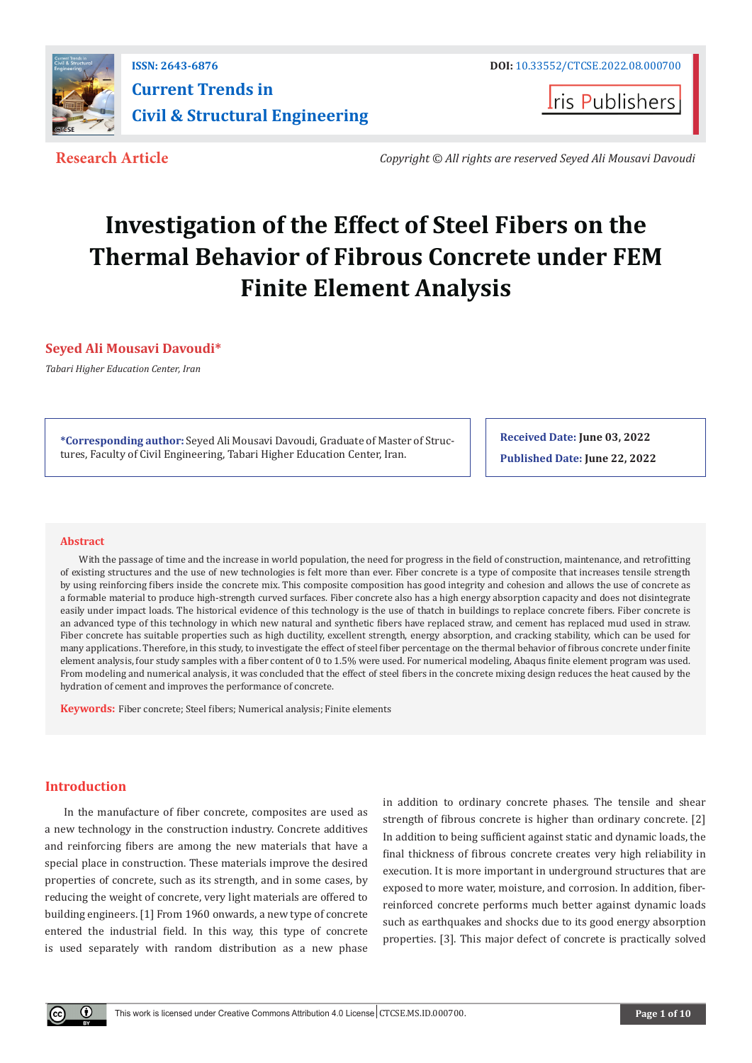

**I**ris Publishers

**Research Article** *Copyright © All rights are reserved Seyed Ali Mousavi Davoudi*

# **Investigation of the Effect of Steel Fibers on the Thermal Behavior of Fibrous Concrete under FEM Finite Element Analysis**

# **Seyed Ali Mousavi Davoudi\***

*Tabari Higher Education Center, Iran*

**\*Corresponding author:** Seyed Ali Mousavi Davoudi, Graduate of Master of Structures, Faculty of Civil Engineering, Tabari Higher Education Center, Iran.

**Received Date: June 03, 2022 Published Date: June 22, 2022**

#### **Abstract**

With the passage of time and the increase in world population, the need for progress in the field of construction, maintenance, and retrofitting of existing structures and the use of new technologies is felt more than ever. Fiber concrete is a type of composite that increases tensile strength by using reinforcing fibers inside the concrete mix. This composite composition has good integrity and cohesion and allows the use of concrete as a formable material to produce high-strength curved surfaces. Fiber concrete also has a high energy absorption capacity and does not disintegrate easily under impact loads. The historical evidence of this technology is the use of thatch in buildings to replace concrete fibers. Fiber concrete is an advanced type of this technology in which new natural and synthetic fibers have replaced straw, and cement has replaced mud used in straw. Fiber concrete has suitable properties such as high ductility, excellent strength, energy absorption, and cracking stability, which can be used for many applications. Therefore, in this study, to investigate the effect of steel fiber percentage on the thermal behavior of fibrous concrete under finite element analysis, four study samples with a fiber content of 0 to 1.5% were used. For numerical modeling, Abaqus finite element program was used. From modeling and numerical analysis, it was concluded that the effect of steel fibers in the concrete mixing design reduces the heat caused by the hydration of cement and improves the performance of concrete.

**Keywords:** Fiber concrete; Steel fibers; Numerical analysis; Finite elements

# **Introduction**

In the manufacture of fiber concrete, composites are used as a new technology in the construction industry. Concrete additives and reinforcing fibers are among the new materials that have a special place in construction. These materials improve the desired properties of concrete, such as its strength, and in some cases, by reducing the weight of concrete, very light materials are offered to building engineers. [1] From 1960 onwards, a new type of concrete entered the industrial field. In this way, this type of concrete is used separately with random distribution as a new phase

in addition to ordinary concrete phases. The tensile and shear strength of fibrous concrete is higher than ordinary concrete. [2] In addition to being sufficient against static and dynamic loads, the final thickness of fibrous concrete creates very high reliability in execution. It is more important in underground structures that are exposed to more water, moisture, and corrosion. In addition, fiberreinforced concrete performs much better against dynamic loads such as earthquakes and shocks due to its good energy absorption properties. [3]. This major defect of concrete is practically solved

 $^{\circ}$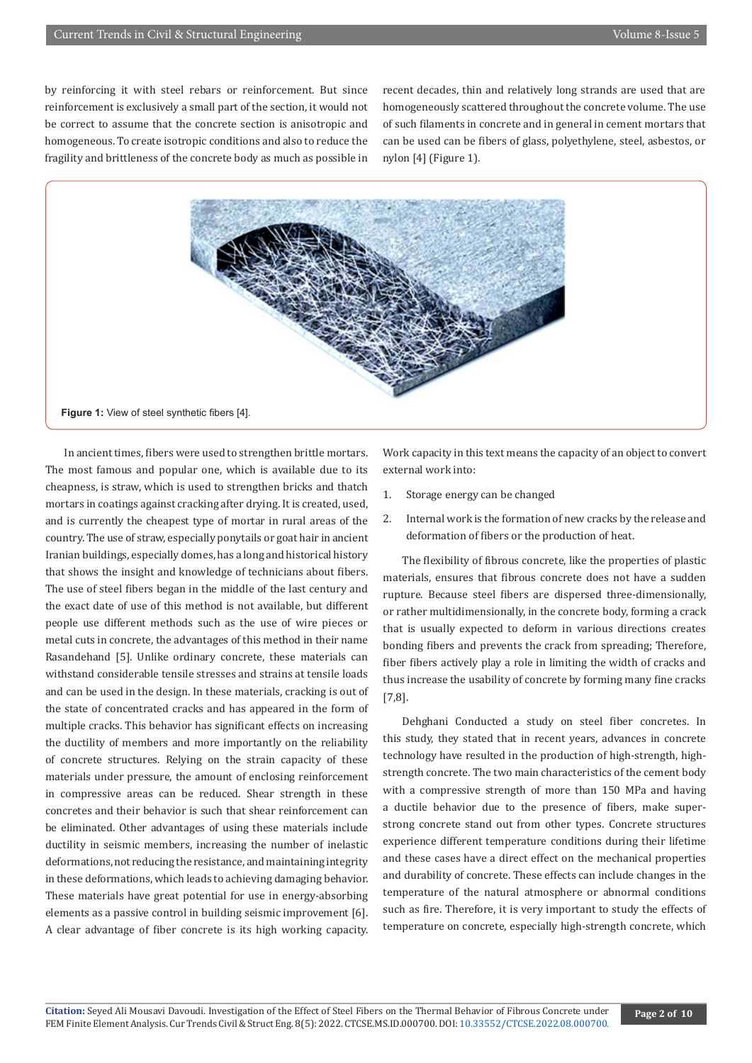by reinforcing it with steel rebars or reinforcement. But since reinforcement is exclusively a small part of the section, it would not be correct to assume that the concrete section is anisotropic and homogeneous. To create isotropic conditions and also to reduce the fragility and brittleness of the concrete body as much as possible in

recent decades, thin and relatively long strands are used that are homogeneously scattered throughout the concrete volume. The use of such filaments in concrete and in general in cement mortars that can be used can be fibers of glass, polyethylene, steel, asbestos, or nylon [4] (Figure 1).



In ancient times, fibers were used to strengthen brittle mortars. The most famous and popular one, which is available due to its cheapness, is straw, which is used to strengthen bricks and thatch mortars in coatings against cracking after drying. It is created, used, and is currently the cheapest type of mortar in rural areas of the country. The use of straw, especially ponytails or goat hair in ancient Iranian buildings, especially domes, has a long and historical history that shows the insight and knowledge of technicians about fibers. The use of steel fibers began in the middle of the last century and the exact date of use of this method is not available, but different people use different methods such as the use of wire pieces or metal cuts in concrete, the advantages of this method in their name Rasandehand [5]. Unlike ordinary concrete, these materials can withstand considerable tensile stresses and strains at tensile loads and can be used in the design. In these materials, cracking is out of the state of concentrated cracks and has appeared in the form of multiple cracks. This behavior has significant effects on increasing the ductility of members and more importantly on the reliability of concrete structures. Relying on the strain capacity of these materials under pressure, the amount of enclosing reinforcement in compressive areas can be reduced. Shear strength in these concretes and their behavior is such that shear reinforcement can be eliminated. Other advantages of using these materials include ductility in seismic members, increasing the number of inelastic deformations, not reducing the resistance, and maintaining integrity in these deformations, which leads to achieving damaging behavior. These materials have great potential for use in energy-absorbing elements as a passive control in building seismic improvement [6]. A clear advantage of fiber concrete is its high working capacity.

Work capacity in this text means the capacity of an object to convert external work into:

- 1. Storage energy can be changed
- 2. Internal work is the formation of new cracks by the release and deformation of fibers or the production of heat.

The flexibility of fibrous concrete, like the properties of plastic materials, ensures that fibrous concrete does not have a sudden rupture. Because steel fibers are dispersed three-dimensionally, or rather multidimensionally, in the concrete body, forming a crack that is usually expected to deform in various directions creates bonding fibers and prevents the crack from spreading; Therefore, fiber fibers actively play a role in limiting the width of cracks and thus increase the usability of concrete by forming many fine cracks [7,8].

Dehghani Conducted a study on steel fiber concretes. In this study, they stated that in recent years, advances in concrete technology have resulted in the production of high-strength, highstrength concrete. The two main characteristics of the cement body with a compressive strength of more than 150 MPa and having a ductile behavior due to the presence of fibers, make superstrong concrete stand out from other types. Concrete structures experience different temperature conditions during their lifetime and these cases have a direct effect on the mechanical properties and durability of concrete. These effects can include changes in the temperature of the natural atmosphere or abnormal conditions such as fire. Therefore, it is very important to study the effects of temperature on concrete, especially high-strength concrete, which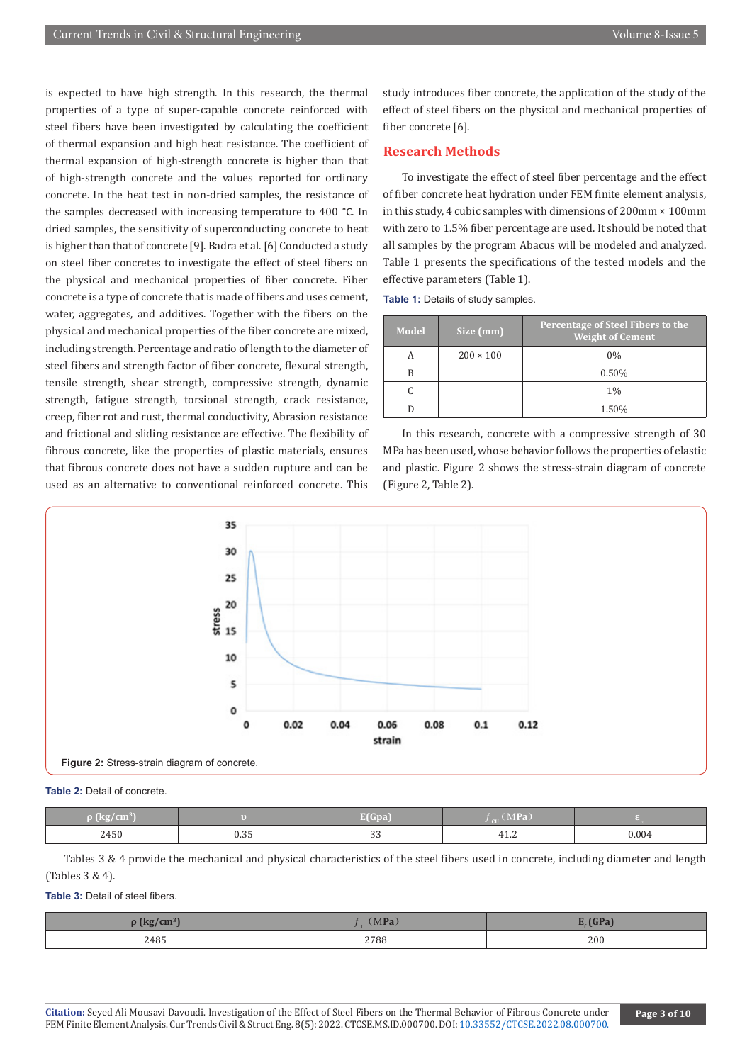is expected to have high strength. In this research, the thermal properties of a type of super-capable concrete reinforced with steel fibers have been investigated by calculating the coefficient of thermal expansion and high heat resistance. The coefficient of thermal expansion of high-strength concrete is higher than that of high-strength concrete and the values reported for ordinary concrete. In the heat test in non-dried samples, the resistance of the samples decreased with increasing temperature to 400 °C. In dried samples, the sensitivity of superconducting concrete to heat is higher than that of concrete [9]. Badra et al. [6] Conducted a study on steel fiber concretes to investigate the effect of steel fibers on the physical and mechanical properties of fiber concrete. Fiber concrete is a type of concrete that is made of fibers and uses cement, water, aggregates, and additives. Together with the fibers on the physical and mechanical properties of the fiber concrete are mixed, including strength. Percentage and ratio of length to the diameter of steel fibers and strength factor of fiber concrete, flexural strength, tensile strength, shear strength, compressive strength, dynamic strength, fatigue strength, torsional strength, crack resistance, creep, fiber rot and rust, thermal conductivity, Abrasion resistance and frictional and sliding resistance are effective. The flexibility of fibrous concrete, like the properties of plastic materials, ensures that fibrous concrete does not have a sudden rupture and can be used as an alternative to conventional reinforced concrete. This

study introduces fiber concrete, the application of the study of the effect of steel fibers on the physical and mechanical properties of fiber concrete [6].

# **Research Methods**

To investigate the effect of steel fiber percentage and the effect of fiber concrete heat hydration under FEM finite element analysis, in this study, 4 cubic samples with dimensions of 200mm × 100mm with zero to 1.5% fiber percentage are used. It should be noted that all samples by the program Abacus will be modeled and analyzed. Table 1 presents the specifications of the tested models and the effective parameters (Table 1).

**Table 1:** Details of study samples.

| <b>Model</b> | Size (mm)        | Percentage of Steel Fibers to the<br><b>Weight of Cement</b> |
|--------------|------------------|--------------------------------------------------------------|
|              | $200 \times 100$ | 0%                                                           |
| B            |                  | 0.50%                                                        |
|              |                  | 1%                                                           |
|              |                  | 1.50%                                                        |

In this research, concrete with a compressive strength of 30 MPa has been used, whose behavior follows the properties of elastic and plastic. Figure 2 shows the stress-strain diagram of concrete (Figure 2, Table 2).



#### **Table 2:** Detail of concrete.

| $\beta$ (kg/cm <sup>3</sup> ) |                | E(Gpa)                | MPa         |       |
|-------------------------------|----------------|-----------------------|-------------|-------|
| 2450                          | $\sim$<br>ບ.ວວ | <u>_</u><br><b>JJ</b> | <b>TI.L</b> | 0.004 |

Tables 3 & 4 provide the mechanical and physical characteristics of the steel fibers used in concrete, including diameter and length (Tables 3 & 4).

**Table 3:** Detail of steel fibers.

| $\sim$ | MP <sub>2</sub> | CD <sub>2</sub> |
|--------|-----------------|-----------------|
| 2485   | 2788            | 200             |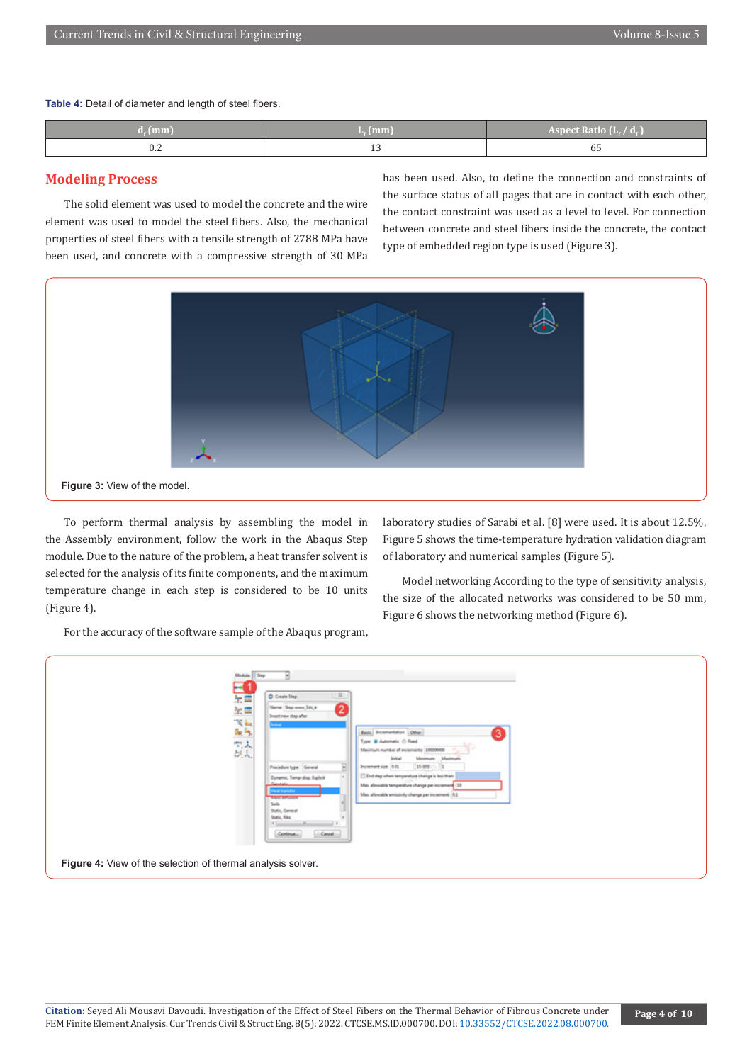**Table 4:** Detail of diameter and length of steel fibers.

| (mm)                 | $L_{c}(mm)$    | <b>Aspect Ratio (LASPECT)</b><br>$\overline{a}$ |
|----------------------|----------------|-------------------------------------------------|
| $\sim$ $\sim$<br>V.Z | $\overline{z}$ | כס                                              |

# **Modeling Process**

The solid element was used to model the concrete and the wire element was used to model the steel fibers. Also, the mechanical properties of steel fibers with a tensile strength of 2788 MPa have been used, and concrete with a compressive strength of 30 MPa has been used. Also, to define the connection and constraints of the surface status of all pages that are in contact with each other, the contact constraint was used as a level to level. For connection between concrete and steel fibers inside the concrete, the contact type of embedded region type is used (Figure 3).



To perform thermal analysis by assembling the model in the Assembly environment, follow the work in the Abaqus Step module. Due to the nature of the problem, a heat transfer solvent is selected for the analysis of its finite components, and the maximum temperature change in each step is considered to be 10 units (Figure 4).

laboratory studies of Sarabi et al. [8] were used. It is about 12.5%, Figure 5 shows the time-temperature hydration validation diagram of laboratory and numerical samples (Figure 5).

Model networking According to the type of sensitivity analysis, the size of the allocated networks was considered to be 50 mm, Figure 6 shows the networking method (Figure 6).

For the accuracy of the software sample of the Abaqus program,

| Medule<br><b>Street</b><br>$\mathbf{F}$                     | ч<br>耳<br>C Create Step<br>Name: Step-wore, 3ds, in<br>0<br>lesset new step after                                                                                                                                                                                                                                                                                                                                                                                                                                                                                                              |  |
|-------------------------------------------------------------|------------------------------------------------------------------------------------------------------------------------------------------------------------------------------------------------------------------------------------------------------------------------------------------------------------------------------------------------------------------------------------------------------------------------------------------------------------------------------------------------------------------------------------------------------------------------------------------------|--|
| 加强 医马克夫                                                     | <b>Initial</b><br><b>Basic</b> Incrementation Other<br>31<br>Type: @ Automatic: (2) Food<br>Maximum number of increments 10000000<br>Maximum<br>Melmum<br><b>System</b><br>10-005-1-1<br>B<br>Prooducture General<br><b>Increment size 0.01</b><br>End step when temperature change is less than:<br>Dynamic, Temp-dop, Explicit<br><b>Canadani</b> a<br>Mai, allowable temperature change per increment 30<br><b>Hout transfer</b><br>Max allowable emissivity change per increment: (6.)<br>Matt diffusion<br><b>Spits</b><br>Static, General<br>Static, Riks<br>$+1$<br>Cancel:<br>Continue |  |
| Figure 4: View of the selection of thermal analysis solver. |                                                                                                                                                                                                                                                                                                                                                                                                                                                                                                                                                                                                |  |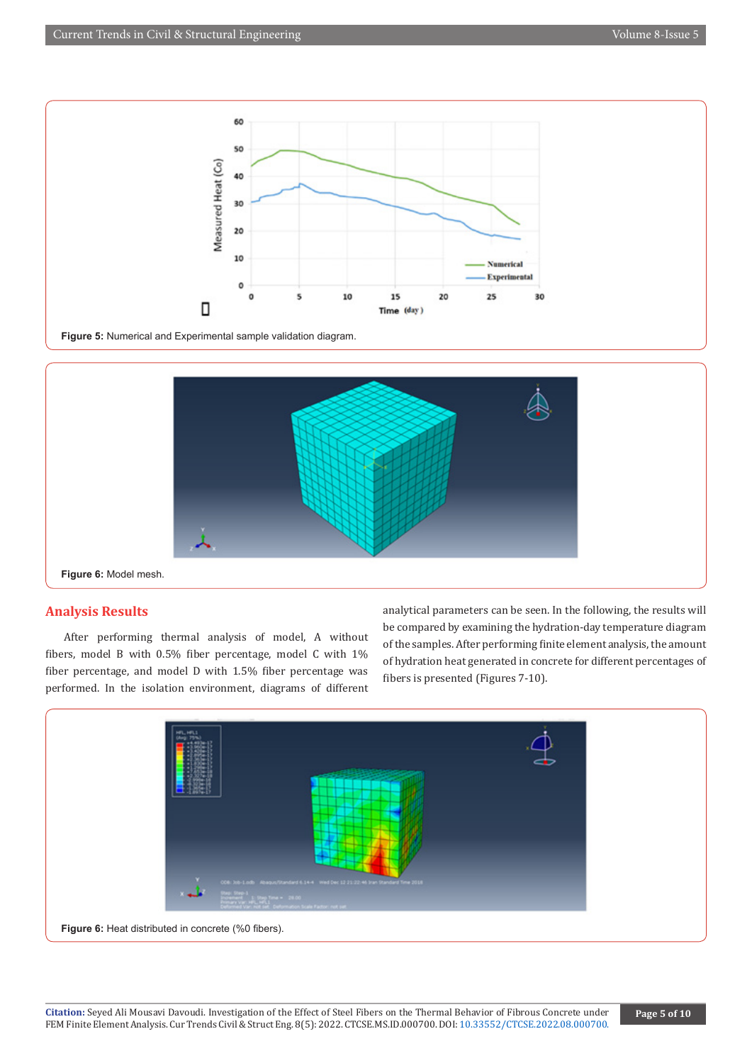



**Figure 6:** Model mesh.

# **Analysis Results**

After performing thermal analysis of model, A without fibers, model B with 0.5% fiber percentage, model C with 1% fiber percentage, and model D with 1.5% fiber percentage was performed. In the isolation environment, diagrams of different

analytical parameters can be seen. In the following, the results will be compared by examining the hydration-day temperature diagram of the samples. After performing finite element analysis, the amount of hydration heat generated in concrete for different percentages of fibers is presented (Figures 7-10).

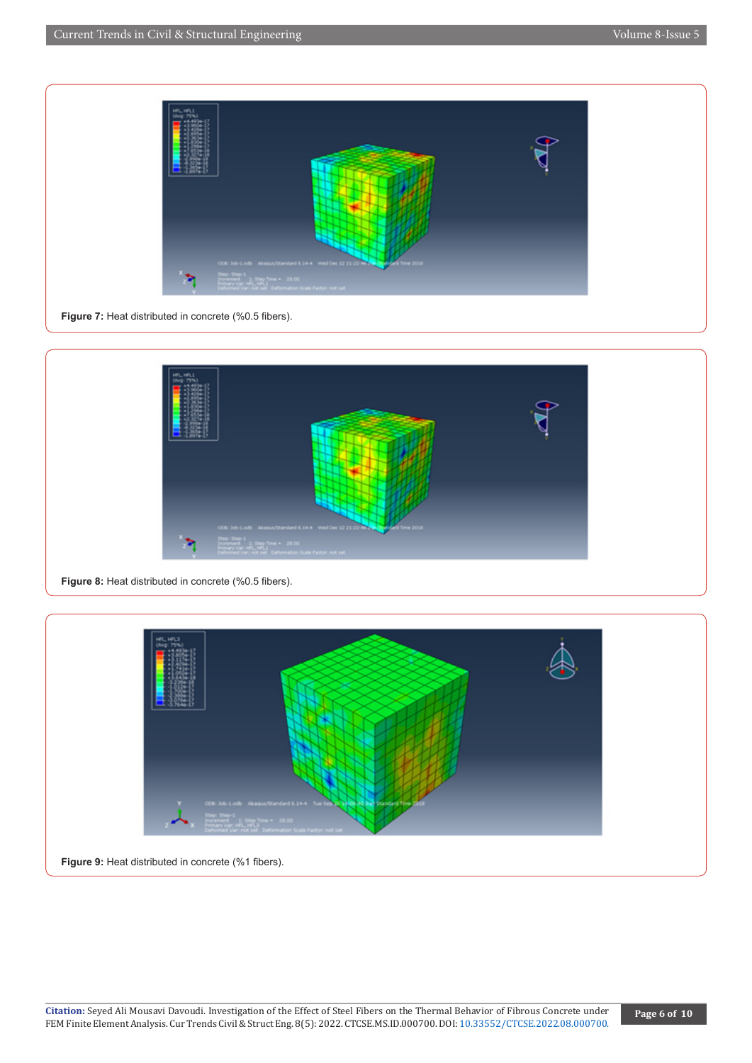Current Trends in Civil & Structural Engineering Volume 8-Issue 5



**Figure 7:** Heat distributed in concrete (%0.5 fibers).





**Figure 9:** Heat distributed in concrete (%1 fibers).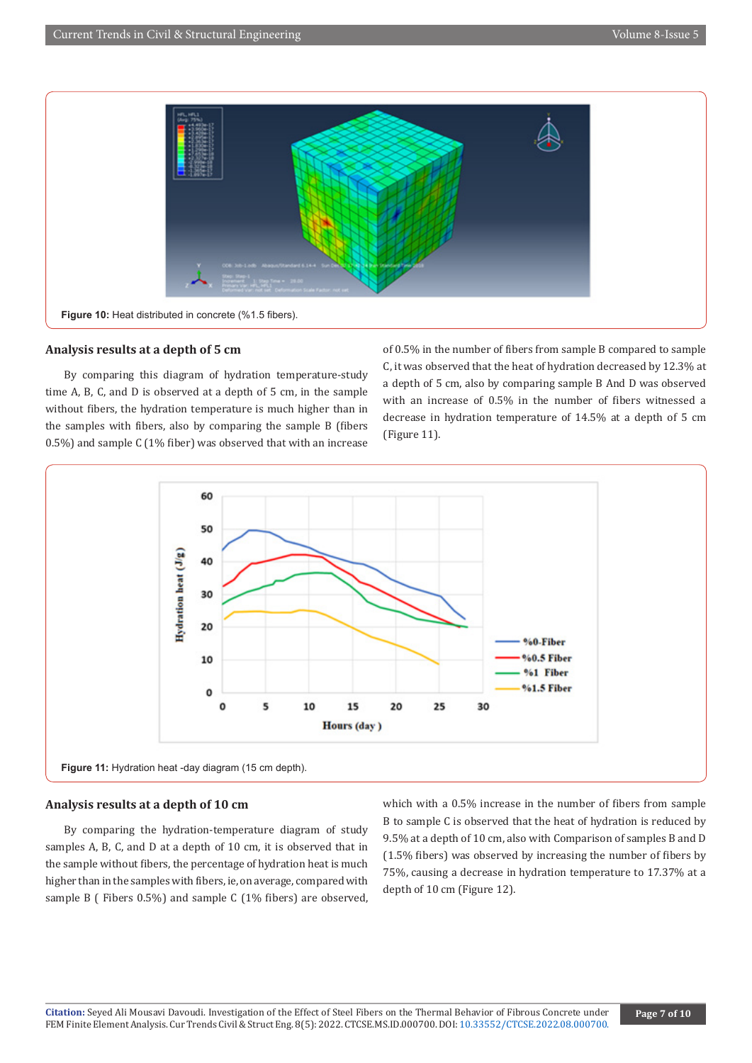

## **Analysis results at a depth of 5 cm**

By comparing this diagram of hydration temperature-study time A, B, C, and D is observed at a depth of 5 cm, in the sample without fibers, the hydration temperature is much higher than in the samples with fibers, also by comparing the sample B (fibers 0.5%) and sample C (1% fiber) was observed that with an increase

of 0.5% in the number of fibers from sample B compared to sample C, it was observed that the heat of hydration decreased by 12.3% at a depth of 5 cm, also by comparing sample B And D was observed with an increase of 0.5% in the number of fibers witnessed a decrease in hydration temperature of 14.5% at a depth of 5 cm (Figure 11).



#### **Analysis results at a depth of 10 cm**

By comparing the hydration-temperature diagram of study samples A, B, C, and D at a depth of 10 cm, it is observed that in the sample without fibers, the percentage of hydration heat is much higher than in the samples with fibers, ie, on average, compared with sample B ( Fibers 0.5%) and sample C (1% fibers) are observed, which with a 0.5% increase in the number of fibers from sample B to sample C is observed that the heat of hydration is reduced by 9.5% at a depth of 10 cm, also with Comparison of samples B and D (1.5% fibers) was observed by increasing the number of fibers by 75%, causing a decrease in hydration temperature to 17.37% at a depth of 10 cm (Figure 12).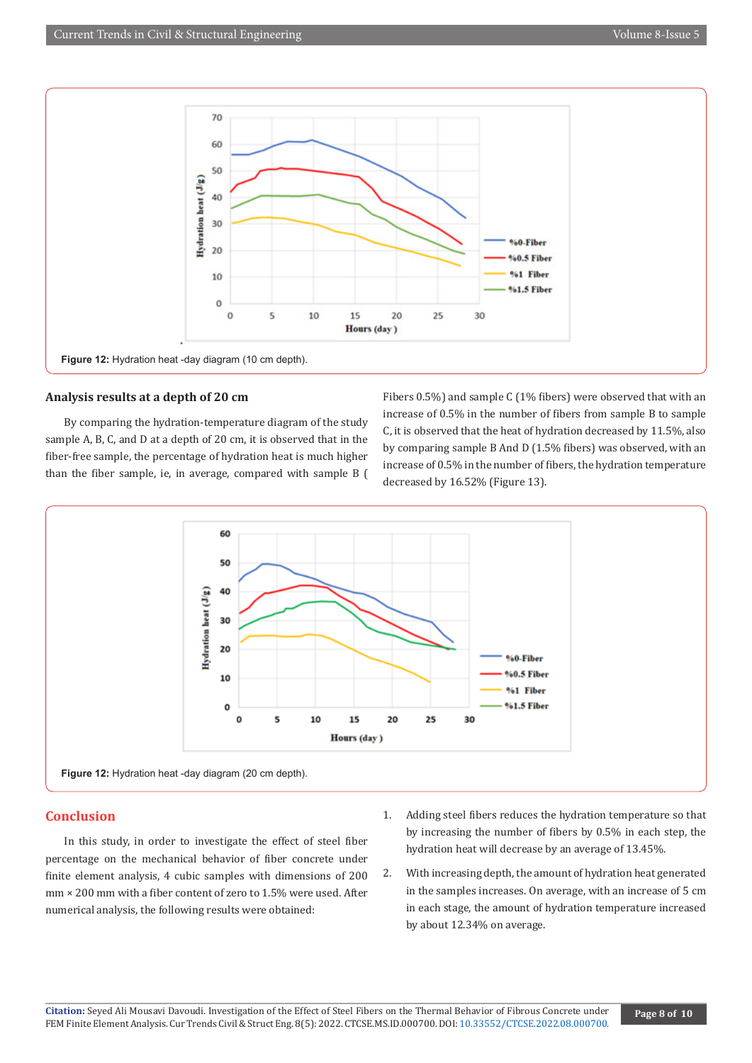

## **Analysis results at a depth of 20 cm**

By comparing the hydration-temperature diagram of the study sample A, B, C, and D at a depth of 20 cm, it is observed that in the fiber-free sample, the percentage of hydration heat is much higher than the fiber sample, ie, in average, compared with sample B (

Fibers 0.5%) and sample C (1% fibers) were observed that with an increase of 0.5% in the number of fibers from sample B to sample C, it is observed that the heat of hydration decreased by 11.5%, also by comparing sample B And D (1.5% fibers) was observed, with an increase of 0.5% in the number of fibers, the hydration temperature decreased by 16.52% (Figure 13).



#### **Conclusion**

In this study, in order to investigate the effect of steel fiber percentage on the mechanical behavior of fiber concrete under finite element analysis, 4 cubic samples with dimensions of 200 mm × 200 mm with a fiber content of zero to 1.5% were used. After numerical analysis, the following results were obtained:

- 1. Adding steel fibers reduces the hydration temperature so that by increasing the number of fibers by 0.5% in each step, the hydration heat will decrease by an average of 13.45%.
- 2. With increasing depth, the amount of hydration heat generated in the samples increases. On average, with an increase of 5 cm in each stage, the amount of hydration temperature increased by about 12.34% on average.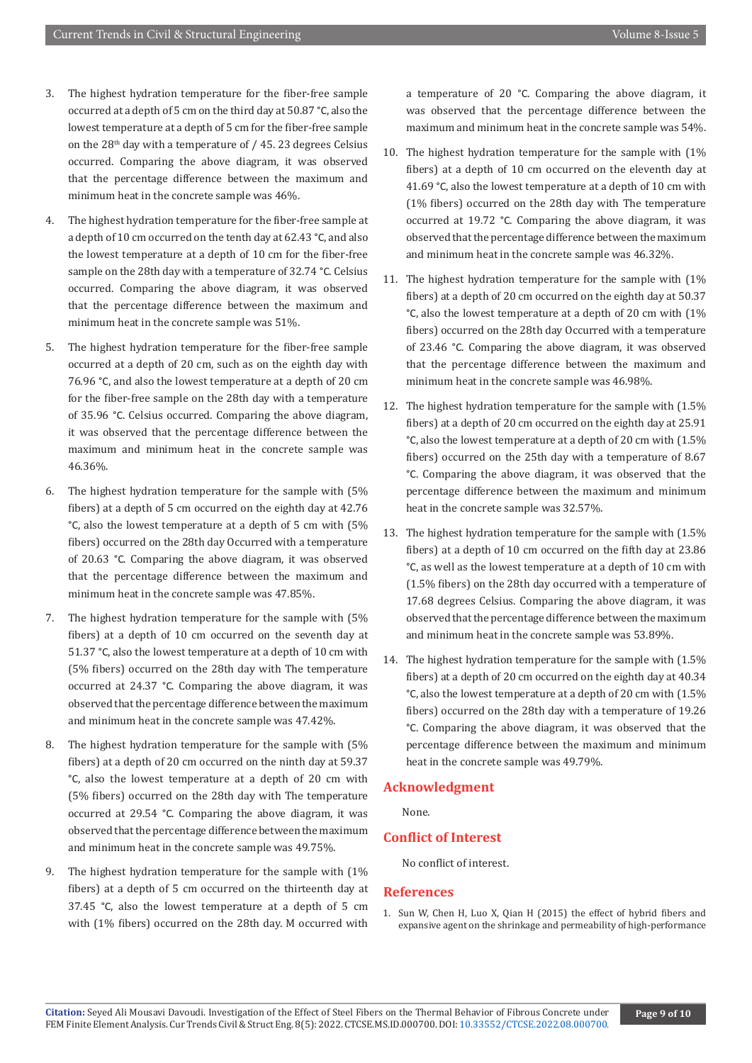- 3. The highest hydration temperature for the fiber-free sample occurred at a depth of 5 cm on the third day at 50.87 °C, also the lowest temperature at a depth of 5 cm for the fiber-free sample on the  $28<sup>th</sup>$  day with a temperature of / 45. 23 degrees Celsius occurred. Comparing the above diagram, it was observed that the percentage difference between the maximum and minimum heat in the concrete sample was 46%.
- 4. The highest hydration temperature for the fiber-free sample at a depth of 10 cm occurred on the tenth day at 62.43 °C, and also the lowest temperature at a depth of 10 cm for the fiber-free sample on the 28th day with a temperature of 32.74 °C. Celsius occurred. Comparing the above diagram, it was observed that the percentage difference between the maximum and minimum heat in the concrete sample was 51%.
- 5. The highest hydration temperature for the fiber-free sample occurred at a depth of 20 cm, such as on the eighth day with 76.96 °C, and also the lowest temperature at a depth of 20 cm for the fiber-free sample on the 28th day with a temperature of 35.96 °C. Celsius occurred. Comparing the above diagram, it was observed that the percentage difference between the maximum and minimum heat in the concrete sample was 46.36%.
- 6. The highest hydration temperature for the sample with (5% fibers) at a depth of 5 cm occurred on the eighth day at 42.76 °C, also the lowest temperature at a depth of 5 cm with (5% fibers) occurred on the 28th day Occurred with a temperature of 20.63 °C. Comparing the above diagram, it was observed that the percentage difference between the maximum and minimum heat in the concrete sample was 47.85%.
- 7. The highest hydration temperature for the sample with (5% fibers) at a depth of 10 cm occurred on the seventh day at 51.37 °C, also the lowest temperature at a depth of 10 cm with (5% fibers) occurred on the 28th day with The temperature occurred at 24.37 °C. Comparing the above diagram, it was observed that the percentage difference between the maximum and minimum heat in the concrete sample was 47.42%.
- 8. The highest hydration temperature for the sample with (5% fibers) at a depth of 20 cm occurred on the ninth day at 59.37 °C, also the lowest temperature at a depth of 20 cm with (5% fibers) occurred on the 28th day with The temperature occurred at 29.54 °C. Comparing the above diagram, it was observed that the percentage difference between the maximum and minimum heat in the concrete sample was 49.75%.
- 9. The highest hydration temperature for the sample with (1% fibers) at a depth of 5 cm occurred on the thirteenth day at 37.45 °C, also the lowest temperature at a depth of 5 cm with (1% fibers) occurred on the 28th day. M occurred with

a temperature of 20 °C. Comparing the above diagram, it was observed that the percentage difference between the maximum and minimum heat in the concrete sample was 54%.

- 10. The highest hydration temperature for the sample with (1% fibers) at a depth of 10 cm occurred on the eleventh day at 41.69 °C, also the lowest temperature at a depth of 10 cm with (1% fibers) occurred on the 28th day with The temperature occurred at 19.72 °C. Comparing the above diagram, it was observed that the percentage difference between the maximum and minimum heat in the concrete sample was 46.32%.
- 11. The highest hydration temperature for the sample with (1% fibers) at a depth of 20 cm occurred on the eighth day at 50.37 °C, also the lowest temperature at a depth of 20 cm with (1% fibers) occurred on the 28th day Occurred with a temperature of 23.46 °C. Comparing the above diagram, it was observed that the percentage difference between the maximum and minimum heat in the concrete sample was 46.98%.
- 12. The highest hydration temperature for the sample with (1.5% fibers) at a depth of 20 cm occurred on the eighth day at 25.91 °C, also the lowest temperature at a depth of 20 cm with (1.5% fibers) occurred on the 25th day with a temperature of 8.67 °C. Comparing the above diagram, it was observed that the percentage difference between the maximum and minimum heat in the concrete sample was 32.57%.
- 13. The highest hydration temperature for the sample with (1.5% fibers) at a depth of 10 cm occurred on the fifth day at 23.86 °C, as well as the lowest temperature at a depth of 10 cm with (1.5% fibers) on the 28th day occurred with a temperature of 17.68 degrees Celsius. Comparing the above diagram, it was observed that the percentage difference between the maximum and minimum heat in the concrete sample was 53.89%.
- 14. The highest hydration temperature for the sample with (1.5% fibers) at a depth of 20 cm occurred on the eighth day at 40.34 °C, also the lowest temperature at a depth of 20 cm with (1.5% fibers) occurred on the 28th day with a temperature of 19.26 °C. Comparing the above diagram, it was observed that the percentage difference between the maximum and minimum heat in the concrete sample was 49.79%.

#### **Acknowledgment**

None.

# **Conflict of Interest**

No conflict of interest.

#### **References**

1. Sun W, Chen H, Luo X, Qian H (2015) the effect of hybrid fibers and expansive agent on the shrinkage and permeability of high-performance